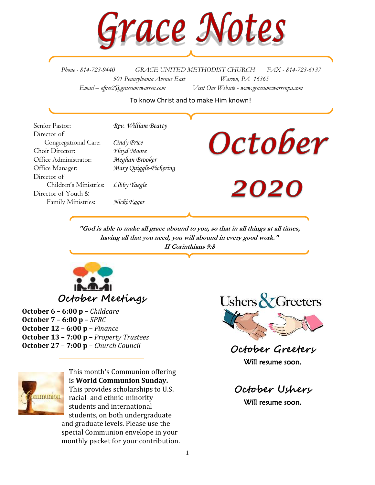

*Phone - 814-723-9440 GRACE UNITED METHODIST CHURCH FAX - 814-723-6137 501 Pennsylvania Avenue East Warren, PA 16365 Email – office2@graceumcwarren.com Visit Our Website - www.graceumcwarrenpa.com* 

#### To know Christ and to make Him known!

Senior Pastor: *Rev. William Beatty* Director of Congregational Care: *Cindy Price* Choir Director: *Floyd Moore* Office Administrator: *Meghan Brooker* Office Manager: *Mary Quiggle-Pickering* Director of Children's Ministries: *Libby Yaegle* Director of Youth & Family Ministries: *Nicki Egger*

# October

**2020** 

**"God is able to make all grace abound to you, so that in all things at all times, having all that you need, you will abound in every good work." II Corinthians 9:8**



**October 6 – 6:00 p –** *Childcare* **October 7 – 6:00 p –** *SPRC* **October 12 – 6:00 p –** *Finance* **October 13 – 7:00 p –** *Property Trustees* **October 27 – 7:00 p –** *Church Council*



This month's Communion offering is **World Communion Sunday.** This provides scholarships to U.S. racial- and ethnic-minority students and international students, on both undergraduate and graduate levels. Please use the special Communion envelope in your monthly packet for your contribution.



**October Greeters** Will resume soon.

**October Ushers** Will resume soon.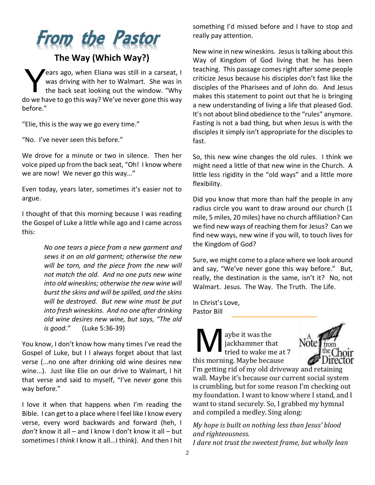## From the Pastor

#### **The Way (Which Way?)**

ears ago, when Eliana was still in a carseat, I was driving with her to Walmart. She was in the back seat looking out the window. "Why do we have to go this way? We've never gone this way before." Y

"Elie, this is the way we go every time."

"No. I've never seen this before."

We drove for a minute or two in silence. Then her voice piped up from the back seat, "Oh! I know where we are now! We never go this way..."

Even today, years later, sometimes it's easier not to argue.

I thought of that this morning because I was reading the Gospel of Luke a little while ago and I came across this:

> *No one tears a piece from a new garment and sews it on an old garment; otherwise the new will be torn, and the piece from the new will not match the old. And no one puts new wine into old wineskins; otherwise the new wine will burst the skins and will be spilled, and the skins will be destroyed. But new wine must be put into fresh wineskins. And no one after drinking old wine desires new wine, but says, "The old is good."* (Luke 5:36-39)

You know, I don't know how many times I've read the Gospel of Luke, but I I always forget about that last verse (...no one after drinking old wine desires new wine...). Just like Elie on our drive to Walmart, I hit that verse and said to myself, "I've never gone this way before."

I love it when that happens when I'm reading the Bible. I can get to a place where I feel like I know every verse, every word backwards and forward (heh, I *don't* know it all – and I know I don't know it all – but sometimes I *think* I know it all...I think). And then I hit something I'd missed before and I have to stop and really pay attention.

New wine in new wineskins. Jesus is talking about this Way of Kingdom of God living that he has been teaching. This passage comes right after some people criticize Jesus because his disciples don't fast like the disciples of the Pharisees and of John do. And Jesus makes this statement to point out that he is bringing a new understanding of living a life that pleased God. It's not about blind obedience to the "rules" anymore. Fasting is not a bad thing, but when Jesus is with the disciples it simply isn't appropriate for the disciples to fast.

So, this new wine changes the old rules. I think we might need a little of that new wine in the Church. A little less rigidity in the "old ways" and a little more flexibility.

Did you know that more than half the people in any radius circle you want to draw around our church (1 mile, 5 miles, 20 miles) have no church affiliation? Can we find new ways of reaching them for Jesus? Can we find new ways, new wine if you will, to touch lives for the Kingdom of God?

Sure, we might come to a place where we look around and say, "We've never gone this way before." But, really, the destination is the same, isn't it? No, not Walmart. Jesus. The Way. The Truth. The Life.

In Christ's Love, Pastor Bill

aybe it was the jackhammer that tried to wake me at 7 this morning. Maybe because M



I'm getting rid of my old driveway and retaining wall. Maybe it's because our current social system is crumbling, but for some reason I'm checking out my foundation. I want to know where I stand, and I want to stand securely. So, I grabbed my hymnal and compiled a medley. Sing along:

*My hope is built on nothing less than Jesus' blood and righteousness. I dare not trust the sweetest frame, but wholly lean*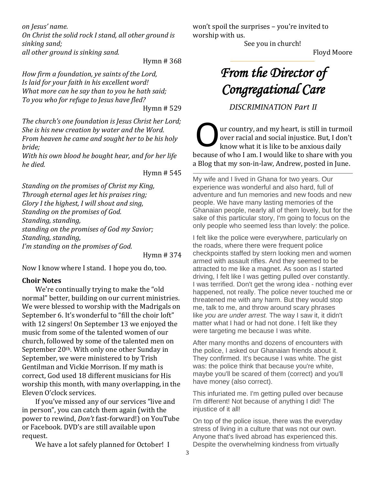*on Jesus' name.*

*On Christ the solid rock I stand, all other ground is sinking sand; all other ground is sinking sand.*

Hymn # 368

*How firm a foundation, ye saints of the Lord, Is laid for your faith in his excellent word! What more can he say than to you he hath said; To you who for refuge to Jesus have fled?* Hymn # 529

*The church's one foundation is Jesus Christ her Lord; She is his new creation by water and the Word. From heaven he came and sought her to be his holy bride;*

*With his own blood he bought hear, and for her life he died.*

Hymn # 545

*Standing on the promises of Christ my King, Through eternal ages let his praises ring; Glory I the highest, I will shout and sing, Standing on the promises of God. Standing, standing, standing on the promises of God my Savior; Standing, standing, I'm standing on the promises of God.*

Hymn # 374

Now I know where I stand. I hope you do, too.

#### **Choir Notes**

We're continually trying to make the "old normal" better, building on our current ministries. We were blessed to worship with the Madrigals on September 6. It's wonderful to "fill the choir loft" with 12 singers! On September 13 we enjoyed the music from some of the talented women of our church, followed by some of the talented men on September 20<sup>th</sup>. With only one other Sunday in September, we were ministered to by Trish Gentilman and Vickie Morrison. If my math is correct, God used 18 different musicians for His worship this month, with many overlapping, in the Eleven O'clock services.

If you've missed any of our services "live and in person", you can catch them again (with the power to rewind, *Don't* fast-forward!) on YouTube or Facebook. DVD's are still available upon request.

We have a lot safely planned for October! I

won't spoil the surprises – you're invited to worship with us.

See you in church!

Floyd Moore

### *From the Director of Congregational Care*

*DISCRIMINATION Part II*

ur country, and my heart, is still in turmoil over racial and social injustice. But, I don't know what it is like to be anxious daily because of who I am. I would like to share with you a Blog that my son-in-law, Andrew, posted in June. O

My wife and I lived in Ghana for two years. Our experience was wonderful and also hard, full of adventure and fun memories and new foods and new people. We have many lasting memories of the Ghanaian people, nearly all of them lovely, but for the sake of this particular story, I'm going to focus on the only people who seemed less than lovely: the police.

I felt like the police were everywhere, particularly on the roads, where there were frequent police checkpoints staffed by stern looking men and women armed with assault rifles. And they seemed to be attracted to me like a magnet. As soon as I started driving, I felt like I was getting pulled over constantly. I was terrified. Don't get the wrong idea - nothing ever happened, not really. The police never touched me or threatened me with any harm. But they would stop me, talk to me, and throw around scary phrases like *you are under arrest.* The way I saw it, it didn't matter what I had or had not done. I felt like they were targeting me because I was white.

After many months and dozens of encounters with the police, I asked our Ghanaian friends about it. They confirmed. It's because I was white. The gist was: the police think that because you're white, maybe you'll be scared of them (correct) and you'll have money (also correct).

This infuriated me. I'm getting pulled over because I'm different! Not because of anything I did! The injustice of it all!

On top of the police issue, there was the everyday stress of living in a culture that was not our own. Anyone that's lived abroad has experienced this. Despite the overwhelming kindness from virtually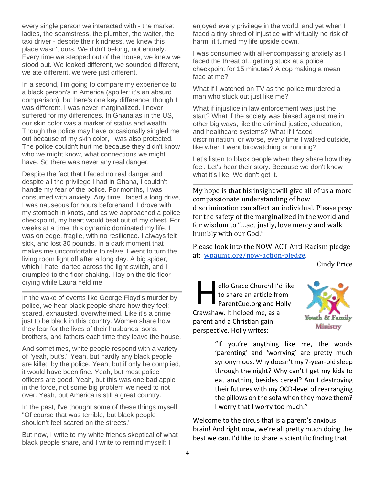every single person we interacted with - the market ladies, the seamstress, the plumber, the waiter, the taxi driver - despite their kindness, we knew this place wasn't ours. We didn't belong, not entirely. Every time we stepped out of the house, we knew we stood out. We looked different, we sounded different, we ate different, we were just different.

In a second, I'm going to compare my experience to a black person's in America (spoiler: it's an absurd comparison), but here's one key difference: though I was different, I was never marginalized. I never suffered for my differences. In Ghana as in the US, our skin color was a marker of status and wealth. Though the police may have occasionally singled me out because of my skin color, I was also protected. The police couldn't hurt me because they didn't know who we might know, what connections we might have. So there was never any real danger.

Despite the fact that I faced no real danger and despite all the privilege I had in Ghana, I couldn't handle my fear of the police. For months, I was consumed with anxiety. Any time I faced a long drive, I was nauseous for hours beforehand. I drove with my stomach in knots, and as we approached a police checkpoint, my heart would beat out of my chest. For weeks at a time, this dynamic dominated my life. I was on edge, fragile, with no resilience. I always felt sick, and lost 30 pounds. In a dark moment that makes me uncomfortable to relive, I went to turn the living room light off after a long day. A big spider, which I hate, darted across the light switch, and I crumpled to the floor shaking. I lay on the tile floor crying while Laura held me

In the wake of events like George Floyd's murder by police, we hear black people share how they feel: scared, exhausted, overwhelmed. Like it's a crime just to be black in this country. Women share how they fear for the lives of their husbands, sons, brothers, and fathers each time they leave the house.

And sometimes, white people respond with a variety of "yeah, but's." Yeah, but hardly any black people are killed by the police. Yeah, but if only he complied, it would have been fine. Yeah, but most police officers are good. Yeah, but this was one bad apple in the force, not some big problem we need to riot over. Yeah, but America is still a great country.

In the past, I've thought some of these things myself. "Of course that was terrible, but black people shouldn't feel scared on the streets."

But now, I write to my white friends skeptical of what black people share, and I write to remind myself: I

enjoyed every privilege in the world, and yet when I faced a tiny shred of injustice with virtually no risk of harm, it turned my life upside down.

I was consumed with all-encompassing anxiety as I faced the threat of...getting stuck at a police checkpoint for 15 minutes? A cop making a mean face at me?

What if I watched on TV as the police murdered a man who stuck out just like me?

What if injustice in law enforcement was just the start? What if the society was biased against me in other big ways, like the criminal justice, education, and healthcare systems? What if I faced discrimination, or worse, every time I walked outside, like when I went birdwatching or running?

Let's listen to black people when they share how they feel. Let's hear their story. Because we don't know what it's like. We don't get it.

My hope is that his insight will give all of us a more compassionate understanding of how discrimination can affect an individual. Please pray for the safety of the marginalized in the world and for wisdom to "…act justly, love mercy and walk humbly with our God."

Please look into the NOW-ACT Anti-Racism pledge at: [wpaumc.org/now-action-pledge.](http://wpaumc.org/now-action-pledge)

Cindy Price

ello Grace Church! I'd like to share an article from ello Grace Church! I'd like<br>to share an article from<br>ParentCue.org and Holly Crawshaw. It helped me, as a parent and a Christian gain perspective. Holly writes:



"If you're anything like me, the words 'parenting' and 'worrying' are pretty much synonymous. Why doesn't my 7-year-old sleep through the night? Why can't I get my kids to eat anything besides cereal? Am I destroying their futures with my OCD-level of rearranging the pillows on the sofa when they move them? I worry that I worry too much."

Welcome to the circus that is a parent's anxious brain! And right now, we're all pretty much doing the best we can. I'd like to share a scientific finding that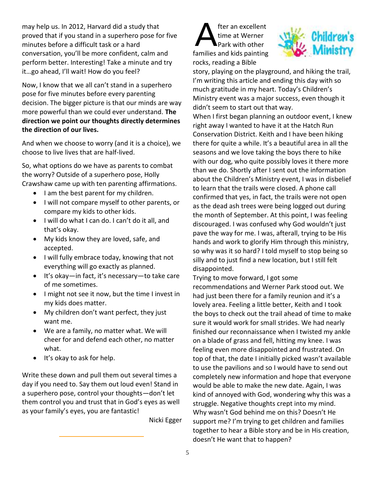may help us. In 2012, Harvard did a study that proved that if you stand in a superhero pose for five minutes before a difficult task or a hard conversation, you'll be more confident, calm and perform better. Interesting! Take a minute and try it…go ahead, I'll wait! How do you feel?

Now, I know that we all can't stand in a superhero pose for five minutes before every parenting decision. The bigger picture is that our minds are way more powerful than we could ever understand. **The direction we point our thoughts directly determines the direction of our lives.**

And when we choose to worry (and it is a choice), we choose to live lives that are half-lived.

So, what options do we have as parents to combat the worry? Outside of a superhero pose, Holly Crawshaw came up with ten parenting affirmations.

- I am the best parent for my children.
- I will not compare myself to other parents, or compare my kids to other kids.
- I will do what I can do. I can't do it all, and that's okay.
- My kids know they are loved, safe, and accepted.
- I will fully embrace today, knowing that not everything will go exactly as planned.
- It's okay—in fact, it's necessary—to take care of me sometimes.
- I might not see it now, but the time I invest in my kids does matter.
- My children don't want perfect, they just want me.
- We are a family, no matter what. We will cheer for and defend each other, no matter what.
- It's okay to ask for help.

Write these down and pull them out several times a day if you need to. Say them out loud even! Stand in a superhero pose, control your thoughts—don't let them control you and trust that in God's eyes as well as your family's eyes, you are fantastic!

Nicki Egger

fter an excellent time at Werner Park with other families and kids painting rocks, reading a Bible A



story, playing on the playground, and hiking the trail, I'm writing this article and ending this day with so much gratitude in my heart. Today's Children's Ministry event was a major success, even though it didn't seem to start out that way.

When I first began planning an outdoor event, I knew right away I wanted to have it at the Hatch Run Conservation District. Keith and I have been hiking there for quite a while. It's a beautiful area in all the seasons and we love taking the boys there to hike with our dog, who quite possibly loves it there more than we do. Shortly after I sent out the information about the Children's Ministry event, I was in disbelief to learn that the trails were closed. A phone call confirmed that yes, in fact, the trails were not open as the dead ash trees were being logged out during the month of September. At this point, I was feeling discouraged. I was confused why God wouldn't just pave the way for me. I was, afterall, trying to be His hands and work to glorify Him through this ministry, so why was it so hard? I told myself to stop being so silly and to just find a new location, but I still felt disappointed.

Trying to move forward, I got some recommendations and Werner Park stood out. We had just been there for a family reunion and it's a lovely area. Feeling a little better, Keith and I took the boys to check out the trail ahead of time to make sure it would work for small strides. We had nearly finished our reconnaissance when I twisted my ankle on a blade of grass and fell, hitting my knee. I was feeling even more disappointed and frustrated. On top of that, the date I initially picked wasn't available to use the pavilions and so I would have to send out completely new information and hope that everyone would be able to make the new date. Again, I was kind of annoyed with God, wondering why this was a struggle. Negative thoughts crept into my mind. Why wasn't God behind me on this? Doesn't He support me? I'm trying to get children and families together to hear a Bible story and be in His creation, doesn't He want that to happen?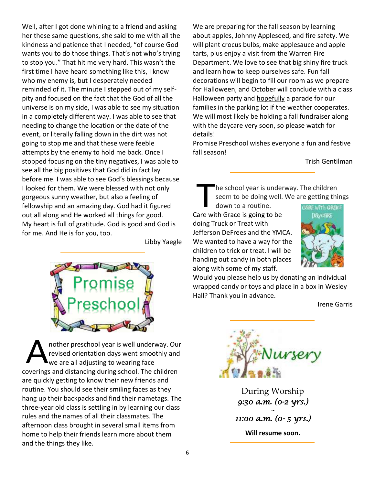Well, after I got done whining to a friend and asking her these same questions, she said to me with all the kindness and patience that I needed, "of course God wants you to do those things. That's not who's trying to stop you." That hit me very hard. This wasn't the first time I have heard something like this, I know who my enemy is, but I desperately needed reminded of it. The minute I stepped out of my selfpity and focused on the fact that the God of all the universe is on my side, I was able to see my situation in a completely different way. I was able to see that needing to change the location or the date of the event, or literally falling down in the dirt was not going to stop me and that these were feeble attempts by the enemy to hold me back. Once I stopped focusing on the tiny negatives, I was able to see all the big positives that God did in fact lay before me. I was able to see God's blessings because I looked for them. We were blessed with not only gorgeous sunny weather, but also a feeling of fellowship and an amazing day. God had it figured out all along and He worked all things for good. My heart is full of gratitude. God is good and God is for me. And He is for you, too.

Libby Yaegle



nother preschool year is well underway. Our revised orientation days went smoothly and we are all adjusting to wearing face coverings and distancing during school. The children are quickly getting to know their new friends and routine. You should see their smiling faces as they hang up their backpacks and find their nametags. The three-year old class is settling in by learning our class rules and the names of all their classmates. The afternoon class brought in several small items from home to help their friends learn more about them and the things they like. A

We are preparing for the fall season by learning about apples, Johnny Appleseed, and fire safety. We will plant crocus bulbs, make applesauce and apple tarts, plus enjoy a visit from the Warren Fire Department. We love to see that big shiny fire truck and learn how to keep ourselves safe. Fun fall decorations will begin to fill our room as we prepare for Halloween, and October will conclude with a class Halloween party and hopefully a parade for our families in the parking lot if the weather cooperates. We will most likely be holding a fall fundraiser along with the daycare very soon, so please watch for details!

Promise Preschool wishes everyone a fun and festive fall season!

Trish Gentilman

he school year is underway. The children seem to be doing well. We are getting things

down to a routine. Care with Grace is going to be doing Truck or Treat with Jefferson DeFrees and the YMCA. We wanted to have a way for the children to trick or treat. I will be handing out candy in both places along with some of my staff. T



Would you please help us by donating an individual wrapped candy or toys and place in a box in Wesley Hall? Thank you in advance.

Irene Garris



During Worship *9:30 a.m. (0-2 yrs.) ~ 11:00 a.m. (0- 5 yrs.)*  **Will resume soon.**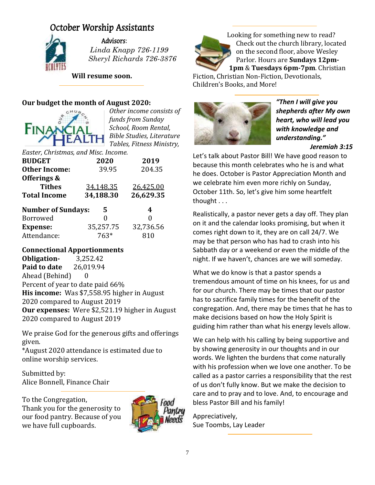#### October Worship Assistants



Advisors:

 *Linda Knapp 726-1199 Sheryl Richards 726-3876*

**Will resume soon.**

#### **Our budget the month of August 2020:**



*Other income consists of funds from Sunday School, Room Rental, Bible Studies, Literature Tables, Fitness Ministry,* 

| Easter, Christmas, and Misc. Income. |           |           |  |  |  |  |  |  |
|--------------------------------------|-----------|-----------|--|--|--|--|--|--|
| <b>BUDGET</b>                        | 2020      | 2019      |  |  |  |  |  |  |
| <b>Other Income:</b>                 | 39.95     | 204.35    |  |  |  |  |  |  |
| Offerings &                          |           |           |  |  |  |  |  |  |
| <b>Tithes</b>                        | 34,148.35 | 26,425.00 |  |  |  |  |  |  |
|                                      |           |           |  |  |  |  |  |  |
| <b>Total Income</b>                  | 34,188.30 | 26,629.35 |  |  |  |  |  |  |
| <b>Number of Sundays:</b>            | 5         | 4         |  |  |  |  |  |  |
| Borrowed                             | 0         | 0         |  |  |  |  |  |  |
| <b>Expense:</b>                      | 35,257.75 | 32,736.56 |  |  |  |  |  |  |

#### **Connectional Apportionments**

**Obligation-** 3,252.42 **Paid to date** 26,019.94 Ahead (Behind) 0 Percent of year to date paid 66% **His income:** Was \$7,558.95 higher in August 2020 compared to August 2019 **Our expenses:** Were \$2,521.19 higher in August 2020 compared to August 2019

We praise God for the generous gifts and offerings given.

\*August 2020 attendance is estimated due to online worship services.

Submitted by: Alice Bonnell, Finance Chair

To the Congregation, Thank you for the generosity to our food pantry. Because of you we have full cupboards.





**1pm** & **Tuesdays 6pm-7pm**. Christian Fiction, Christian Non-Fiction, Devotionals,

Children's Books, and More!



*"Then I will give you shepherds after My own heart, who will lead you with knowledge and understanding."*

*Jeremiah 3:15*

Let's talk about Pastor Bill! We have good reason to because this month celebrates who he is and what he does. October is Pastor Appreciation Month and we celebrate him even more richly on Sunday, October 11th. So, let's give him some heartfelt thought . . .

Realistically, a pastor never gets a day off. They plan on it and the calendar looks promising, but when it comes right down to it, they are on call 24/7. We may be that person who has had to crash into his Sabbath day or a weekend or even the middle of the night. If we haven't, chances are we will someday.

What we do know is that a pastor spends a tremendous amount of time on his knees, for us and for our church. There may be times that our pastor has to sacrifice family times for the benefit of the congregation. And, there may be times that he has to make decisions based on how the Holy Spirit is guiding him rather than what his energy levels allow.

We can help with his calling by being supportive and by showing generosity in our thoughts and in our words. We lighten the burdens that come naturally with his profession when we love one another. To be called as a pastor carries a responsibility that the rest of us don't fully know. But we make the decision to care and to pray and to love. And, to encourage and bless Pastor Bill and his family!

Appreciatively, Sue Toombs, Lay Leader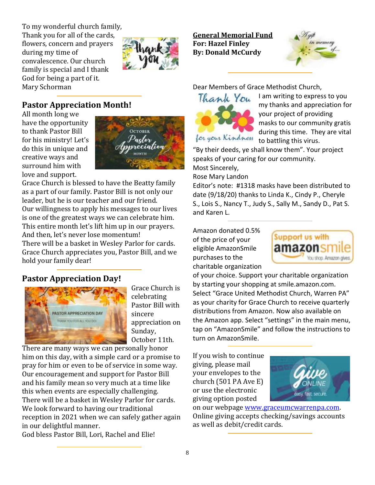To my wonderful church family, Thank you for all of the cards, flowers, concern and prayers during my time of convalescence. Our church family is special and I thank God for being a part of it. Mary Schorman



#### **Pastor Appreciation Month!**

All month long we have the opportunity to thank Pastor Bill for his ministry! Let's do this in unique and creative ways and surround him with love and support.



Grace Church is blessed to have the Beatty family as a part of our family. Pastor Bill is not only our leader, but he is our teacher and our friend. Our willingness to apply his messages to our lives is one of the greatest ways we can celebrate him. This entire month let's lift him up in our prayers. And then, let's never lose momentum! There will be a basket in Wesley Parlor for cards. Grace Church appreciates you, Pastor Bill, and we hold your family dear!

#### **Pastor Appreciation Day!**



Grace Church is celebrating Pastor Bill with sincere appreciation on Sunday, October 11th.

There are many ways we can personally honor him on this day, with a simple card or a promise to pray for him or even to be of service in some way. Our encouragement and support for Pastor Bill and his family mean so very much at a time like this when events are especially challenging. There will be a basket in Wesley Parlor for cards. We look forward to having our traditional reception in 2021 when we can safely gather again in our delightful manner.

God bless Pastor Bill, Lori, Rachel and Elie!

**General Memorial Fund For: Hazel Finley By: Donald McCurdy**



Dear Members of Grace Methodist Church,



I am writing to express to you my thanks and appreciation for your project of providing masks to our community gratis during this time. They are vital to battling this virus.

"By their deeds, ye shall know them". Your project speaks of your caring for our community. Most Sincerely,

Rose Mary Landon

Editor's note: #1318 masks have been distributed to date (9/18/20) thanks to Linda K., Cindy P., Cheryle S., Lois S., Nancy T., Judy S., Sally M., Sandy D., Pat S. and Karen L.

Amazon donated 0.5% of the price of your eligible AmazonSmile purchases to the charitable organization



of your choice. Support your charitable organization by starting your shopping at smile.amazon.com. Select "Grace United Methodist Church, Warren PA" as your charity for Grace Church to receive quarterly distributions from Amazon. Now also available on the Amazon app. Select "settings" in the main menu, tap on "AmazonSmile" and follow the instructions to turn on AmazonSmile.

If you wish to continue giving, please mail your envelopes to the church (501 PA Ave E) or use the electronic giving option posted



on our webpage [www.graceumcwarrenpa.com.](http://www.graceumcwarrenpa.com/) Online giving accepts checking/savings accounts as well as debit/credit cards.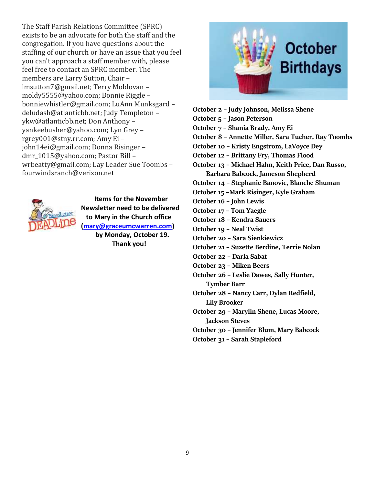The Staff Parish Relations Committee (SPRC) exists to be an advocate for both the staff and the congregation. If you have questions about the staffing of our church or have an issue that you feel you can't approach a staff member with, please feel free to contact an SPRC member. The members are Larry Sutton, Chair – lmsutton7@gmail.net; Terry Moldovan – moldy5555@yahoo.com; Bonnie Riggle – bonniewhistler@gmail.com; LuAnn Munksgard – deludash@atlanticbb.net; Judy Templeton – ykw@atlanticbb.net; Don Anthony – yankeebusher@yahoo.com; Lyn Grey – rgrey001@stny.rr.com; Amy Ei – john14ei@gmail.com; Donna Risinger – dmr\_1015@yahoo.com; Pastor Bill – wrbeatty@gmail.com; Lay Leader Sue Toombs – fourwindsranch@verizon.net



 **Items for the November Newsletter need to be delivered to Mary in the Church office [\(mary@graceumcwarren.com\)](mailto:mary@graceumcwarren.com) by Monday, October 19. Thank you!**



**October 2 – Judy Johnson, Melissa Shene October 5 – Jason Peterson October 7 – Shania Brady, Amy Ei October 8 – Annette Miller, Sara Tucher, Ray Toombs October 10 – Kristy Engstrom, LaVoyce Dey October 12 – Brittany Fry, Thomas Flood October 13 – Michael Hahn, Keith Price, Dan Russo, Barbara Babcock, Jameson Shepherd October 14 – Stephanie Banovic, Blanche Shuman October 15 –Mark Risinger, Kyle Graham October 16 – John Lewis October 17 – Tom Yaegle October 18 – Kendra Sauers October 19 – Neal Twist October 20 – Sara Sienkiewicz October 21 – Suzette Berdine, Terrie Nolan October 22 – Darla Sabat October 23 – Miken Beers October 26 – Leslie Dawes, Sally Hunter, Tymber Barr October 28 – Nancy Carr, Dylan Redfield, Lily Brooker October 29 – Marylin Shene, Lucas Moore, Jackson Steves October 30 – Jennifer Blum, Mary Babcock October 31 – Sarah Stapleford**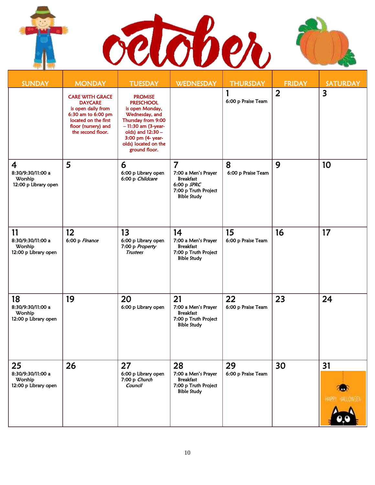l ١



| <b>SUNDAY</b>                                                          | <b>MONDAY</b>                                                                                                                                            | <b>TUESDAY</b>                                                                                                                                                                                           | <b>WEDNESDAY</b>                                                                                                       | <b>THURSDAY</b>          | <b>FRIDAY</b>  | <b>SATURDAY</b>         |
|------------------------------------------------------------------------|----------------------------------------------------------------------------------------------------------------------------------------------------------|----------------------------------------------------------------------------------------------------------------------------------------------------------------------------------------------------------|------------------------------------------------------------------------------------------------------------------------|--------------------------|----------------|-------------------------|
|                                                                        | <b>CARE WITH GRACE</b><br><b>DAYCARE</b><br>is open daily from<br>6:30 am to 6:00 pm<br>located on the first<br>floor (nursery) and<br>the second floor. | <b>PROMISE</b><br><b>PRESCHOOL</b><br>is open Monday,<br>Wednesday, and<br>Thursday from 9:00<br>$-11:30$ am (3-year-<br>olds) and 12:30 -<br>3:00 pm (4- year-<br>olds) located on the<br>ground floor. |                                                                                                                        | 6:00 p Praise Team       | $\overline{2}$ | $\overline{\mathbf{3}}$ |
| $\overline{4}$<br>8:30/9:30/11:00 a<br>Worship<br>12:00 p Library open | 5                                                                                                                                                        | 6<br>6:00 p Library open<br>6:00 p Childcare                                                                                                                                                             | $\overline{7}$<br>7:00 a Men's Prayer<br><b>Breakfast</b><br>6:00 p SPRC<br>7:00 p Truth Project<br><b>Bible Study</b> | 8<br>6:00 p Praise Team  | 9              | 10                      |
| 11<br>8:30/9:30/11:00 a<br>Worship<br>12:00 p Library open             | 12<br>6:00 p Finance                                                                                                                                     | 13<br>6:00 p Library open<br>7:00 p Property<br><b>Trustees</b>                                                                                                                                          | 14<br>7:00 a Men's Prayer<br><b>Breakfast</b><br>7:00 p Truth Project<br><b>Bible Study</b>                            | 15<br>6:00 p Praise Team | 16             | 17                      |
| 18<br>8:30/9:30/11:00 a<br>Worship<br>12:00 p Library open             | 19                                                                                                                                                       | 20<br>6:00 p Library open                                                                                                                                                                                | 21<br>7:00 a Men's Prayer<br><b>Breakfast</b><br>7:00 p Truth Project<br><b>Bible Study</b>                            | 22<br>6:00 p Praise Team | 23             | 24                      |
| 25<br>8:30/9:30/11:00 a<br>Worship<br>12:00 p Library open             | 26                                                                                                                                                       | 27<br>6:00 p Library open<br>7:00 p Church<br>Council                                                                                                                                                    | 28<br>7:00 a Men's Prayer<br><b>Breakfast</b><br>7:00 p Truth Project<br><b>Bible Study</b>                            | 29<br>6:00 p Praise Team | 30             | 31<br>HAPP              |